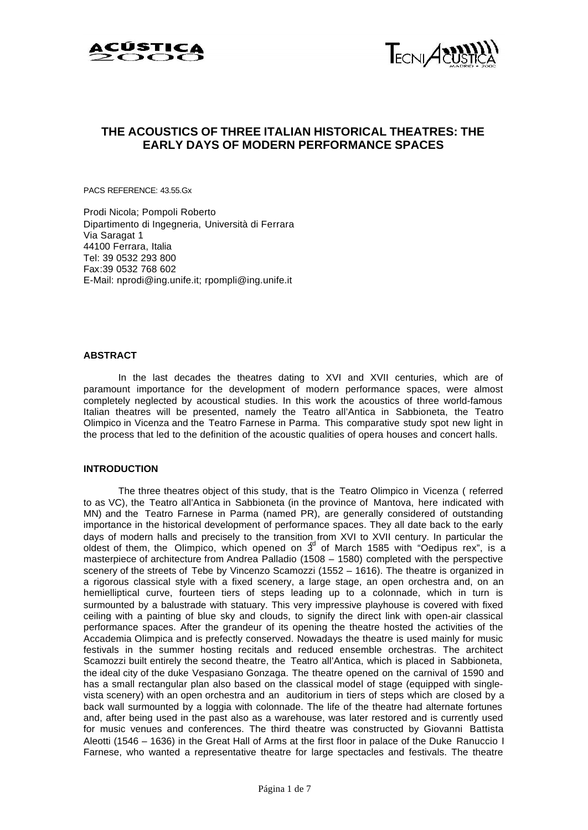



# **THE ACOUSTICS OF THREE ITALIAN HISTORICAL THEATRES: THE EARLY DAYS OF MODERN PERFORMANCE SPACES**

PACS REFERENCE: 43.55.Gx

Prodi Nicola; Pompoli Roberto Dipartimento di Ingegneria, Università di Ferrara Via Saragat 1 44100 Ferrara, Italia Tel: 39 0532 293 800 Fax:39 0532 768 602 E-Mail: nprodi@ing.unife.it; rpompli@ing.unife.it

# **ABSTRACT**

In the last decades the theatres dating to XVI and XVII centuries, which are of paramount importance for the development of modern performance spaces, were almost completely neglected by acoustical studies. In this work the acoustics of three world-famous Italian theatres will be presented, namely the Teatro all'Antica in Sabbioneta, the Teatro Olimpico in Vicenza and the Teatro Farnese in Parma. This comparative study spot new light in the process that led to the definition of the acoustic qualities of opera houses and concert halls.

# **INTRODUCTION**

The three theatres object of this study, that is the Teatro Olimpico in Vicenza ( referred to as VC), the Teatro all'Antica in Sabbioneta (in the province of Mantova, here indicated with MN) and the Teatro Farnese in Parma (named PR), are generally considered of outstanding importance in the historical development of performance spaces. They all date back to the early days of modern halls and precisely to the transition from XVI to XVII century. In particular the oldest of them, the Olimpico, which opened on  $3<sup>d</sup>$  of March 1585 with "Oedipus rex", is a masterpiece of architecture from Andrea Palladio (1508 – 1580) completed with the perspective scenery of the streets of Tebe by Vincenzo Scamozzi (1552 – 1616). The theatre is organized in a rigorous classical style with a fixed scenery, a large stage, an open orchestra and, on an hemielliptical curve, fourteen tiers of steps leading up to a colonnade, which in turn is surmounted by a balustrade with statuary. This very impressive playhouse is covered with fixed ceiling with a painting of blue sky and clouds, to signify the direct link with open-air classical performance spaces. After the grandeur of its opening the theatre hosted the activities of the Accademia Olimpica and is prefectly conserved. Nowadays the theatre is used mainly for music festivals in the summer hosting recitals and reduced ensemble orchestras. The architect Scamozzi built entirely the second theatre, the Teatro all'Antica, which is placed in Sabbioneta, the ideal city of the duke Vespasiano Gonzaga. The theatre opened on the carnival of 1590 and has a small rectangular plan also based on the classical model of stage (equipped with singlevista scenery) with an open orchestra and an auditorium in tiers of steps which are closed by a back wall surmounted by a loggia with colonnade. The life of the theatre had alternate fortunes and, after being used in the past also as a warehouse, was later restored and is currently used for music venues and conferences. The third theatre was constructed by Giovanni Battista Aleotti (1546 – 1636) in the Great Hall of Arms at the first floor in palace of the Duke Ranuccio I Farnese, who wanted a representative theatre for large spectacles and festivals. The theatre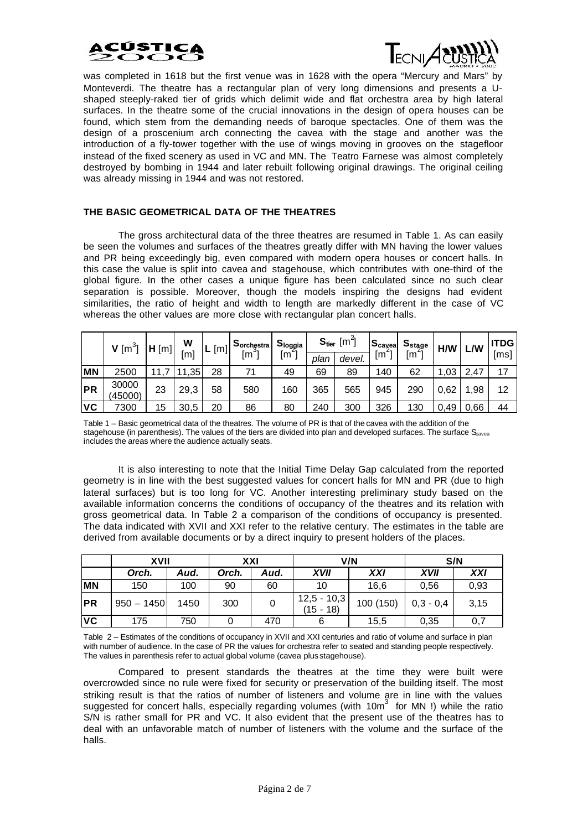



was completed in 1618 but the first venue was in 1628 with the opera "Mercury and Mars" by Monteverdi. The theatre has a rectangular plan of very long dimensions and presents a Ushaped steeply-raked tier of grids which delimit wide and flat orchestra area by high lateral surfaces. In the theatre some of the crucial innovations in the design of opera houses can be found, which stem from the demanding needs of baroque spectacles. One of them was the design of a proscenium arch connecting the cavea with the stage and another was the introduction of a fly-tower together with the use of wings moving in grooves on the stagefloor instead of the fixed scenery as used in VC and MN. The Teatro Farnese was almost completely destroyed by bombing in 1944 and later rebuilt following original drawings. The original ceiling was already missing in 1944 and was not restored.

# **THE BASIC GEOMETRICAL DATA OF THE THEATRES**

The gross architectural data of the three theatres are resumed in Table 1. As can easily be seen the volumes and surfaces of the theatres greatly differ with MN having the lower values and PR being exceedingly big, even compared with modern opera houses or concert halls. In this case the value is split into cavea and stagehouse, which contributes with one-third of the global figure. In the other cases a unique figure has been calculated since no such clear separation is possible. Moreover, though the models inspiring the designs had evident similarities, the ratio of height and width to length are markedly different in the case of VC whereas the other values are more close with rectangular plan concert halls.

|           | $V$ [m <sup>3</sup> ] | H[m] | W<br>$\mathsf{[m]}$ | [m]<br><u>ь</u> | Sorchestra<br>[m <sup>3</sup> ] | l S <sub>loggia</sub><br>$\lceil m^2 \rceil$ | $S_{\text{tier}}$ [m <sup>2</sup> ] |        | $\mathbf{a}_{\text{caveal}}$ | $S_{stage}$ | H/W  | L/W  | <b>TDG</b> |
|-----------|-----------------------|------|---------------------|-----------------|---------------------------------|----------------------------------------------|-------------------------------------|--------|------------------------------|-------------|------|------|------------|
|           |                       |      |                     |                 |                                 |                                              | plan                                | devel. | Im <sup>2</sup>              | ٢m          |      |      | [ms]       |
| <b>MN</b> | 2500                  |      | ,35                 | 28              | 71                              | 49                                           | 69                                  | 89     | 140                          | 62          | ,03  | 2,47 | 17         |
| <b>PR</b> | 30000<br>(45000)      | 23   | 29,3                | 58              | 580                             | 160                                          | 365                                 | 565    | 945                          | 290         | 0,62 | .98  | 12         |
| <b>VC</b> | 7300                  | 15   | 30,5                | 20              | 86                              | 80                                           | 240                                 | 300    | 326                          | 130         | 0.49 | 0,66 | 44         |

Table 1 – Basic geometrical data of the theatres. The volume of PR is that of the cavea with the addition of the stagehouse (in parenthesis). The values of the tiers are divided into plan and developed surfaces. The surface  $S_{\text{cavea}}$ includes the areas where the audience actually seats.

It is also interesting to note that the Initial Time Delay Gap calculated from the reported geometry is in line with the best suggested values for concert halls for MN and PR (due to high lateral surfaces) but is too long for VC. Another interesting preliminary study based on the available information concerns the conditions of occupancy of the theatres and its relation with gross geometrical data. In Table 2 a comparison of the conditions of occupancy is presented. The data indicated with XVII and XXI refer to the relative century. The estimates in the table are derived from available documents or by a direct inquiry to present holders of the places.

|            | <b>XVII</b>  |      | XXI   |      |                              | V/N       | S/N         |      |  |
|------------|--------------|------|-------|------|------------------------------|-----------|-------------|------|--|
|            | Orch.        | Aud. | Orch. | Aud. | <b>XVII</b>                  | XXI       | <b>XVII</b> | XXI  |  |
| <b>MN</b>  | 150          | 100  | 90    | 60   | 10                           | 16,6      | 0,56        | 0,93 |  |
| <b>IPR</b> | $950 - 1450$ | 1450 | 300   |      | $12,5 - 10,3$<br>$(15 - 18)$ | 100 (150) | $0,3 - 0,4$ | 3,15 |  |
| VC         | 175          | 750  |       | 470  |                              | 15,5      | 0,35        | 0,7  |  |

Table 2 – Estimates of the conditions of occupancy in XVII and XXI centuries and ratio of volume and surface in plan with number of audience. In the case of PR the values for orchestra refer to seated and standing people respectively. The values in parenthesis refer to actual global volume (cavea plus stagehouse).

Compared to present standards the theatres at the time they were built were overcrowded since no rule were fixed for security or preservation of the building itself. The most striking result is that the ratios of number of listeners and volume are in line with the values suggested for concert halls, especially regarding volumes (with  $10m<sup>3</sup>$  for MN !) while the ratio S/N is rather small for PR and VC. It also evident that the present use of the theatres has to deal with an unfavorable match of number of listeners with the volume and the surface of the halls.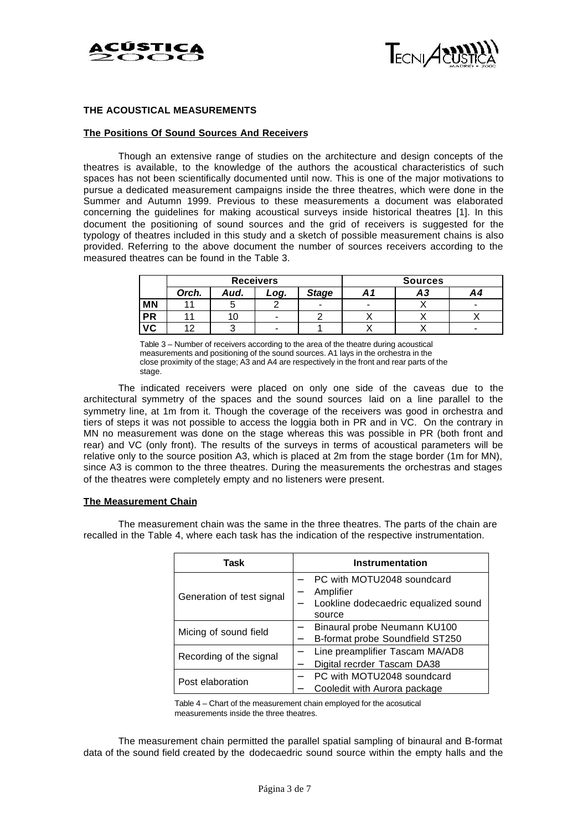



# **THE ACOUSTICAL MEASUREMENTS**

# **The Positions Of Sound Sources And Receivers**

Though an extensive range of studies on the architecture and design concepts of the theatres is available, to the knowledge of the authors the acoustical characteristics of such spaces has not been scientifically documented until now. This is one of the major motivations to pursue a dedicated measurement campaigns inside the three theatres, which were done in the Summer and Autumn 1999. Previous to these measurements a document was elaborated concerning the guidelines for making acoustical surveys inside historical theatres [1]. In this document the positioning of sound sources and the grid of receivers is suggested for the typology of theatres included in this study and a sketch of possible measurement chains is also provided. Referring to the above document the number of sources receivers according to the measured theatres can be found in the Table 3.

|           |       |      | <b>Receivers</b> | <b>Sources</b> |   |    |    |
|-----------|-------|------|------------------|----------------|---|----|----|
|           | Orch. | Aud. | Log.             | <b>Stage</b>   |   | А3 | Α4 |
| <b>MN</b> |       |      |                  | -              | - |    | -  |
| <b>PR</b> |       | υ    | $\blacksquare$   |                |   |    |    |
| VC        | י י   |      | $\blacksquare$   |                |   |    |    |

Table 3 – Number of receivers according to the area of the theatre during acoustical measurements and positioning of the sound sources. A1 lays in the orchestra in the close proximity of the stage; A3 and A4 are respectively in the front and rear parts of the stage.

The indicated receivers were placed on only one side of the caveas due to the architectural symmetry of the spaces and the sound sources laid on a line parallel to the symmetry line, at 1m from it. Though the coverage of the receivers was good in orchestra and tiers of steps it was not possible to access the loggia both in PR and in VC. On the contrary in MN no measurement was done on the stage whereas this was possible in PR (both front and rear) and VC (only front). The results of the surveys in terms of acoustical parameters will be relative only to the source position A3, which is placed at 2m from the stage border (1m for MN), since A3 is common to the three theatres. During the measurements the orchestras and stages of the theatres were completely empty and no listeners were present.

#### **The Measurement Chain**

The measurement chain was the same in the three theatres. The parts of the chain are recalled in the Table 4, where each task has the indication of the respective instrumentation.

| Task                      | <b>Instrumentation</b>                                                                    |  |  |  |  |
|---------------------------|-------------------------------------------------------------------------------------------|--|--|--|--|
| Generation of test signal | PC with MOTU2048 soundcard<br>Amplifier<br>Lookline dodecaedric equalized sound<br>source |  |  |  |  |
| Micing of sound field     | Binaural probe Neumann KU100<br>B-format probe Soundfield ST250                           |  |  |  |  |
| Recording of the signal   | Line preamplifier Tascam MA/AD8<br>Digital recrder Tascam DA38                            |  |  |  |  |
| Post elaboration          | PC with MOTU2048 soundcard<br>Cooledit with Aurora package                                |  |  |  |  |

Table 4 – Chart of the measurement chain employed for the acosutical measurements inside the three theatres.

The measurement chain permitted the parallel spatial sampling of binaural and B-format data of the sound field created by the dodecaedric sound source within the empty halls and the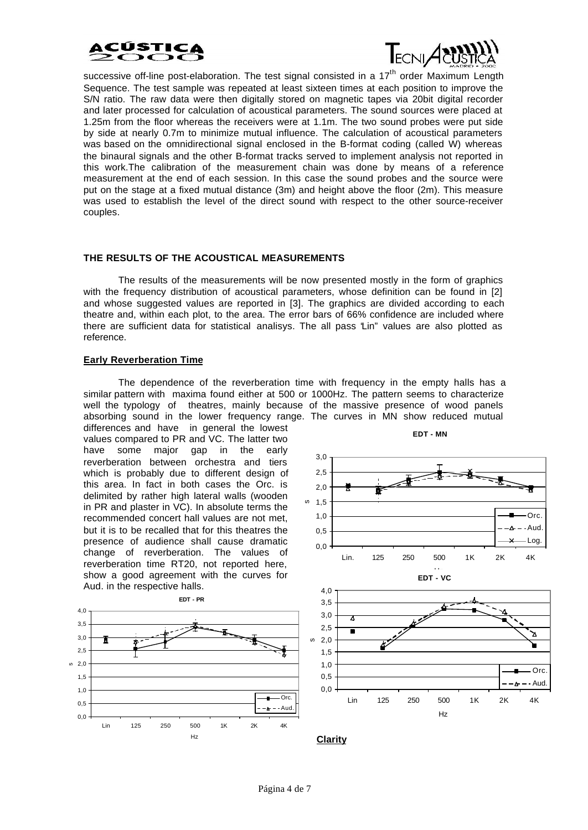



successive off-line post-elaboration. The test signal consisted in a  $17<sup>th</sup>$  order Maximum Length Sequence. The test sample was repeated at least sixteen times at each position to improve the S/N ratio. The raw data were then digitally stored on magnetic tapes via 20bit digital recorder and later processed for calculation of acoustical parameters. The sound sources were placed at 1.25m from the floor whereas the receivers were at 1.1m. The two sound probes were put side by side at nearly 0.7m to minimize mutual influence. The calculation of acoustical parameters was based on the omnidirectional signal enclosed in the B-format coding (called W) whereas the binaural signals and the other B-format tracks served to implement analysis not reported in this work.The calibration of the measurement chain was done by means of a reference measurement at the end of each session. In this case the sound probes and the source were put on the stage at a fixed mutual distance (3m) and height above the floor (2m). This measure was used to establish the level of the direct sound with respect to the other source-receiver couples.

# **THE RESULTS OF THE ACOUSTICAL MEASUREMENTS**

The results of the measurements will be now presented mostly in the form of graphics with the frequency distribution of acoustical parameters, whose definition can be found in [2] and whose suggested values are reported in [3]. The graphics are divided according to each theatre and, within each plot, to the area. The error bars of 66% confidence are included where there are sufficient data for statistical analisys. The all pass "Lin" values are also plotted as reference.

# **Early Reverberation Time**

The dependence of the reverberation time with frequency in the empty halls has a similar pattern with maxima found either at 500 or 1000Hz. The pattern seems to characterize well the typology of theatres, mainly because of the massive presence of wood panels absorbing sound in the lower frequency range. The curves in MN show reduced mutual

differences and have in general the lowest values compared to PR and VC. The latter two have some major gap in the early reverberation between orchestra and tiers which is probably due to different design of this area. In fact in both cases the Orc. is delimited by rather high lateral walls (wooden in PR and plaster in VC). In absolute terms the recommended concert hall values are not met, but it is to be recalled that for this theatres the presence of audience shall cause dramatic change of reverberation. The values of reverberation time RT20, not reported here, show a good agreement with the curves for Aud. in the respective halls.











**EDT - MN**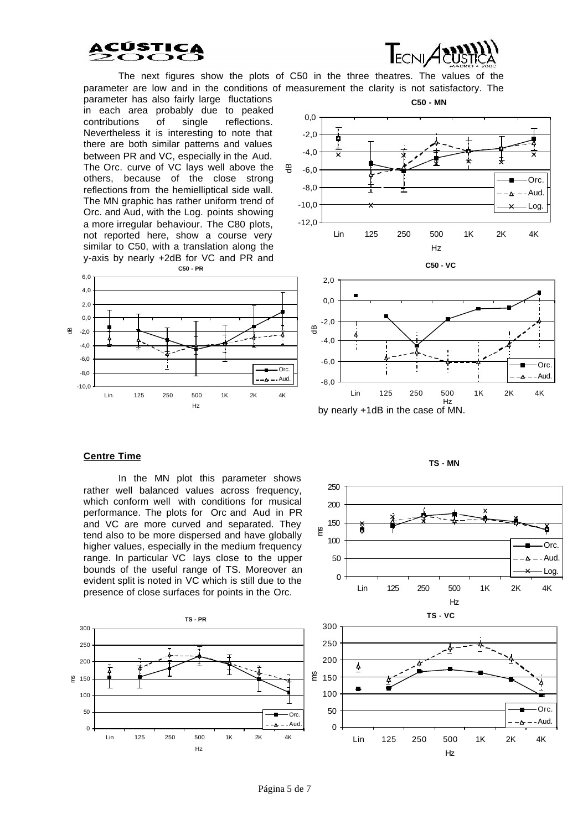



The next figures show the plots of C50 in the three theatres. The values of the parameter are low and in the conditions of measurement the clarity is not satisfactory. The

parameter has also fairly large fluctations in each area probably due to peaked contributions of single reflections. Nevertheless it is interesting to note that there are both similar patterns and values between PR and VC, especially in the Aud. The Orc. curve of VC lays well above the others, because of the close strong reflections from the hemielliptical side wall. The MN graphic has rather uniform trend of Orc. and Aud, with the Log. points showing a more irregular behaviour. The C80 plots, not reported here, show a course very similar to C50, with a translation along the y-axis by nearly +2dB for VC and PR and







#### **Centre Time**

In the MN plot this parameter shows rather well balanced values across frequency, which conform well with conditions for musical performance. The plots for Orc and Aud in PR and VC are more curved and separated. They tend also to be more dispersed and have globally higher values, especially in the medium frequency range. In particular VC lays close to the upper bounds of the useful range of TS. Moreover an evident split is noted in VC which is still due to the presence of close surfaces for points in the Orc.





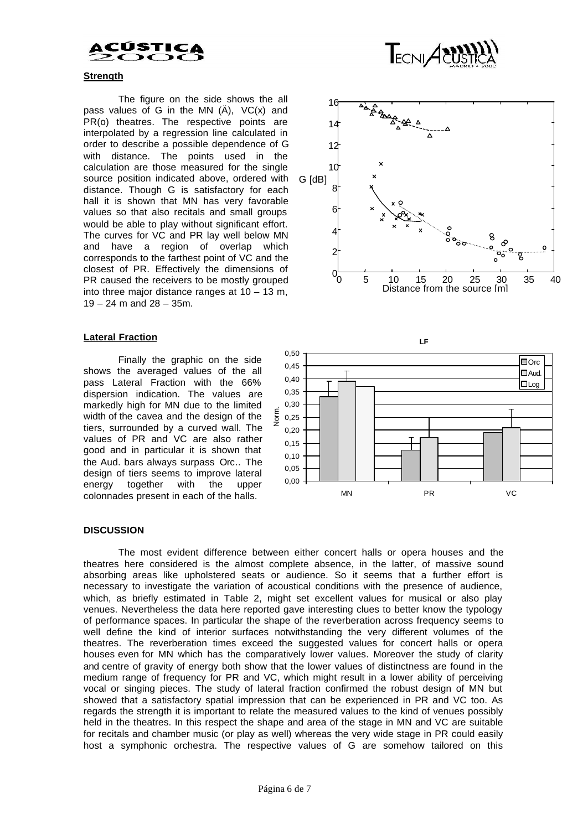# CÚST

# **Strength**

The figure on the side shows the all pass values of G in the MN  $(A)$ , VC $(x)$  and PR(o) theatres. The respective points are interpolated by a regression line calculated in order to describe a possible dependence of G with distance. The points used in the calculation are those measured for the single source position indicated above, ordered with distance. Though G is satisfactory for each hall it is shown that MN has very favorable values so that also recitals and small groups would be able to play without significant effort. The curves for VC and PR lay well below MN and have a region of overlap which corresponds to the farthest point of VC and the closest of PR. Effectively the dimensions of PR caused the receivers to be mostly grouped into three major distance ranges at 10 – 13 m, 19 – 24 m and 28 – 35m.

# **Lateral Fraction**

Finally the graphic on the side shows the averaged values of the all pass Lateral Fraction with the 66% dispersion indication. The values are markedly high for MN due to the limited width of the cavea and the design of the tiers, surrounded by a curved wall. The values of PR and VC are also rather good and in particular it is shown that the Aud. bars always surpass Orc.. The design of tiers seems to improve lateral energy together with the upper colonnades present in each of the halls.



TECNIAN



# **DISCUSSION**

The most evident difference between either concert halls or opera houses and the theatres here considered is the almost complete absence, in the latter, of massive sound absorbing areas like upholstered seats or audience. So it seems that a further effort is necessary to investigate the variation of acoustical conditions with the presence of audience, which, as briefly estimated in Table 2, might set excellent values for musical or also play venues. Nevertheless the data here reported gave interesting clues to better know the typology of performance spaces. In particular the shape of the reverberation across frequency seems to well define the kind of interior surfaces notwithstanding the very different volumes of the theatres. The reverberation times exceed the suggested values for concert halls or opera houses even for MN which has the comparatively lower values. Moreover the study of clarity and centre of gravity of energy both show that the lower values of distinctness are found in the medium range of frequency for PR and VC, which might result in a lower ability of perceiving vocal or singing pieces. The study of lateral fraction confirmed the robust design of MN but showed that a satisfactory spatial impression that can be experienced in PR and VC too. As regards the strength it is important to relate the measured values to the kind of venues possibly held in the theatres. In this respect the shape and area of the stage in MN and VC are suitable for recitals and chamber music (or play as well) whereas the very wide stage in PR could easily host a symphonic orchestra. The respective values of G are somehow tailored on this